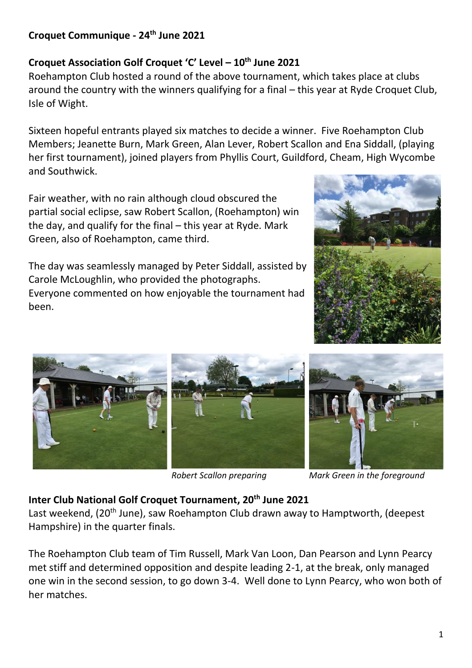# **Croquet Communique - 24th June 2021**

## **Croquet Association Golf Croquet 'C' Level – 10th June 2021**

Roehampton Club hosted a round of the above tournament, which takes place at clubs around the country with the winners qualifying for a final – this year at Ryde Croquet Club, Isle of Wight.

Sixteen hopeful entrants played six matches to decide a winner. Five Roehampton Club Members; Jeanette Burn, Mark Green, Alan Lever, Robert Scallon and Ena Siddall, (playing her first tournament), joined players from Phyllis Court, Guildford, Cheam, High Wycombe and Southwick.

Fair weather, with no rain although cloud obscured the partial social eclipse, saw Robert Scallon, (Roehampton) win the day, and qualify for the final – this year at Ryde. Mark Green, also of Roehampton, came third.

The day was seamlessly managed by Peter Siddall, assisted by Carole McLoughlin, who provided the photographs. Everyone commented on how enjoyable the tournament had been.





*Robert Scallon preparing Mark Green in the foreground*

## **Inter Club National Golf Croquet Tournament, 20th June 2021**

Last weekend, (20<sup>th</sup> June), saw Roehampton Club drawn away to Hamptworth, (deepest Hampshire) in the quarter finals.

The Roehampton Club team of Tim Russell, Mark Van Loon, Dan Pearson and Lynn Pearcy met stiff and determined opposition and despite leading 2-1, at the break, only managed one win in the second session, to go down 3-4. Well done to Lynn Pearcy, who won both of her matches.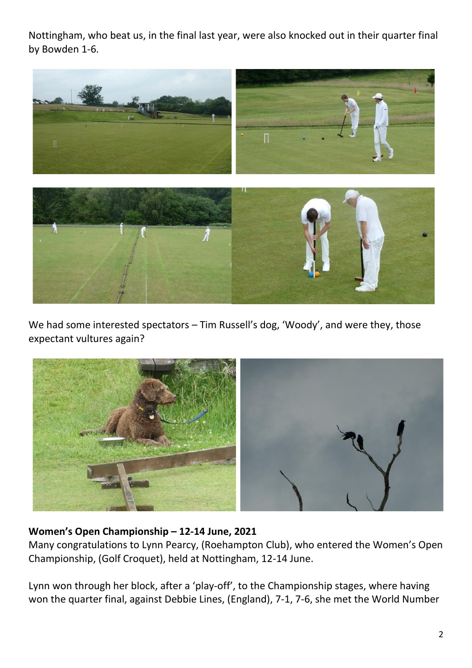Nottingham, who beat us, in the final last year, were also knocked out in their quarter final by Bowden 1-6.



We had some interested spectators – Tim Russell's dog, 'Woody', and were they, those expectant vultures again?



## **Women's Open Championship – 12-14 June, 2021**

Many congratulations to Lynn Pearcy, (Roehampton Club), who entered the Women's Open Championship, (Golf Croquet), held at Nottingham, 12-14 June.

Lynn won through her block, after a 'play-off', to the Championship stages, where having won the quarter final, against Debbie Lines, (England), 7-1, 7-6, she met the World Number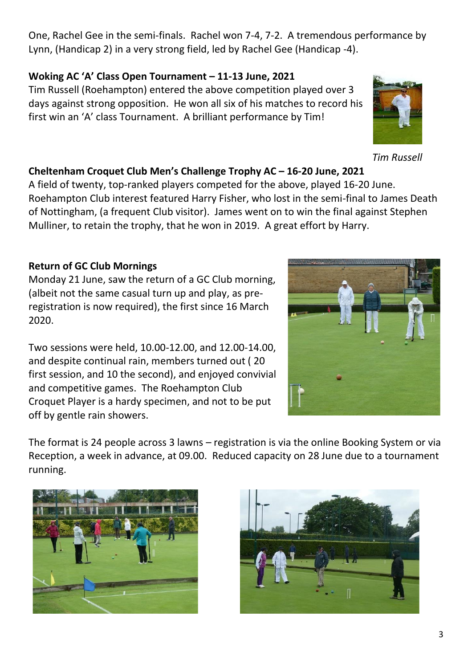One, Rachel Gee in the semi-finals. Rachel won 7-4, 7-2. A tremendous performance by Lynn, (Handicap 2) in a very strong field, led by Rachel Gee (Handicap -4).

## **Woking AC 'A' Class Open Tournament – 11-13 June, 2021**

Tim Russell (Roehampton) entered the above competition played over 3 days against strong opposition. He won all six of his matches to record his first win an 'A' class Tournament. A brilliant performance by Tim!

# **Cheltenham Croquet Club Men's Challenge Trophy AC – 16-20 June, 2021**

A field of twenty, top-ranked players competed for the above, played 16-20 June. Roehampton Club interest featured Harry Fisher, who lost in the semi-final to James Death of Nottingham, (a frequent Club visitor). James went on to win the final against Stephen Mulliner, to retain the trophy, that he won in 2019. A great effort by Harry.

# **Return of GC Club Mornings**

Monday 21 June, saw the return of a GC Club morning, (albeit not the same casual turn up and play, as preregistration is now required), the first since 16 March 2020.

Two sessions were held, 10.00-12.00, and 12.00-14.00, and despite continual rain, members turned out ( 20 first session, and 10 the second), and enjoyed convivial and competitive games. The Roehampton Club Croquet Player is a hardy specimen, and not to be put off by gentle rain showers.

The format is 24 people across 3 lawns – registration is via the online Booking System or via Reception, a week in advance, at 09.00. Reduced capacity on 28 June due to a tournament running.









*Tim Russell*